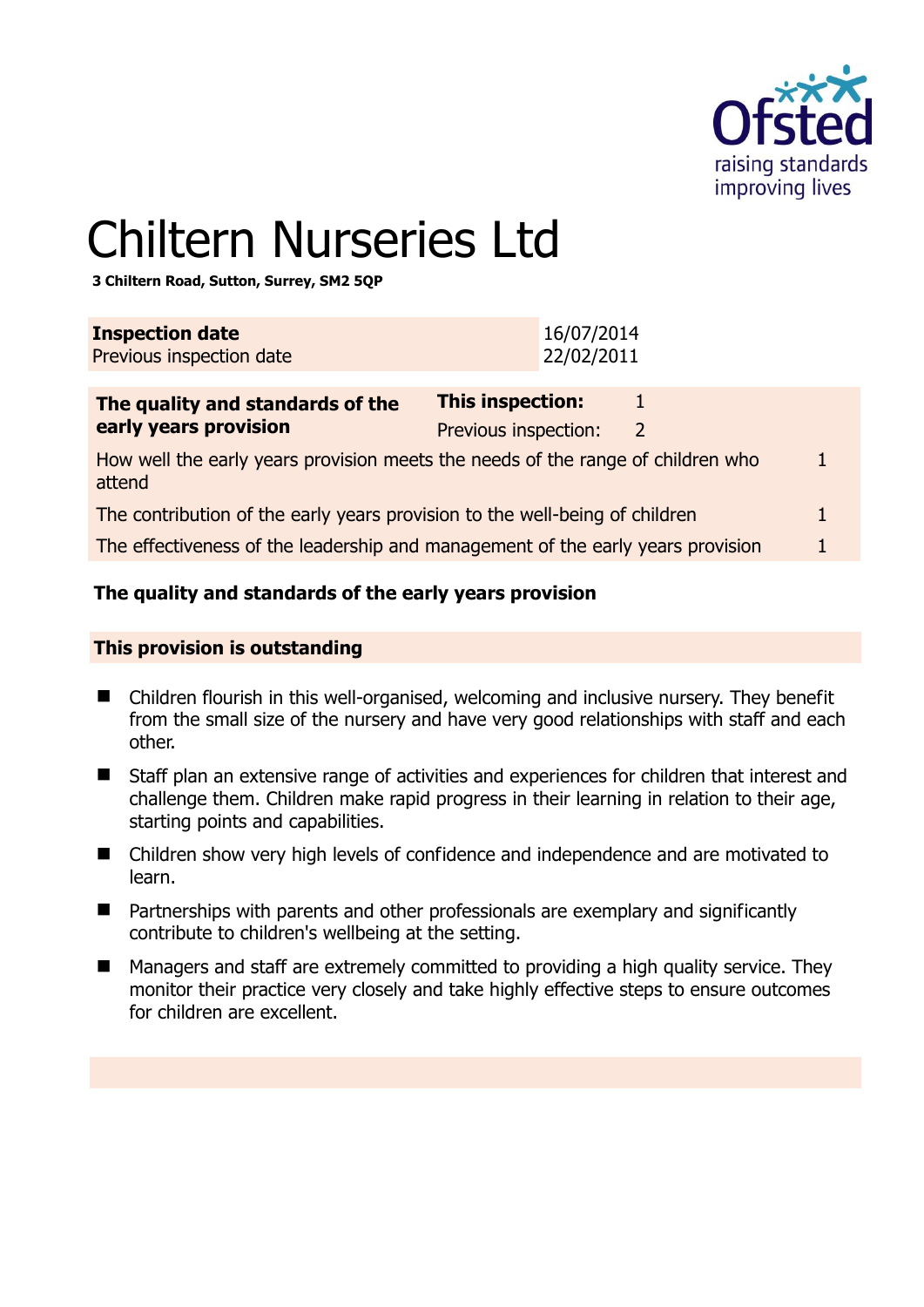

1

# Chiltern Nurseries Ltd

**3 Chiltern Road, Sutton, Surrey, SM2 5QP** 

| <b>Inspection date</b><br>Previous inspection date                                        | 16/07/2014<br>22/02/2011                                  |  |
|-------------------------------------------------------------------------------------------|-----------------------------------------------------------|--|
| The quality and standards of the<br>early years provision                                 | This inspection:<br>Previous inspection:<br>$\mathcal{L}$ |  |
| How well the early years provision meets the needs of the range of children who<br>attend |                                                           |  |
| The contribution of the early years provision to the well-being of children               |                                                           |  |
| The effectiveness of the leadership and management of the early years provision           |                                                           |  |

# **The quality and standards of the early years provision**

#### **This provision is outstanding**

- Children flourish in this well-organised, welcoming and inclusive nursery. They benefit from the small size of the nursery and have very good relationships with staff and each other.
- Staff plan an extensive range of activities and experiences for children that interest and challenge them. Children make rapid progress in their learning in relation to their age, starting points and capabilities.
- Children show very high levels of confidence and independence and are motivated to learn.
- Partnerships with parents and other professionals are exemplary and significantly contribute to children's wellbeing at the setting.
- Managers and staff are extremely committed to providing a high quality service. They monitor their practice very closely and take highly effective steps to ensure outcomes for children are excellent.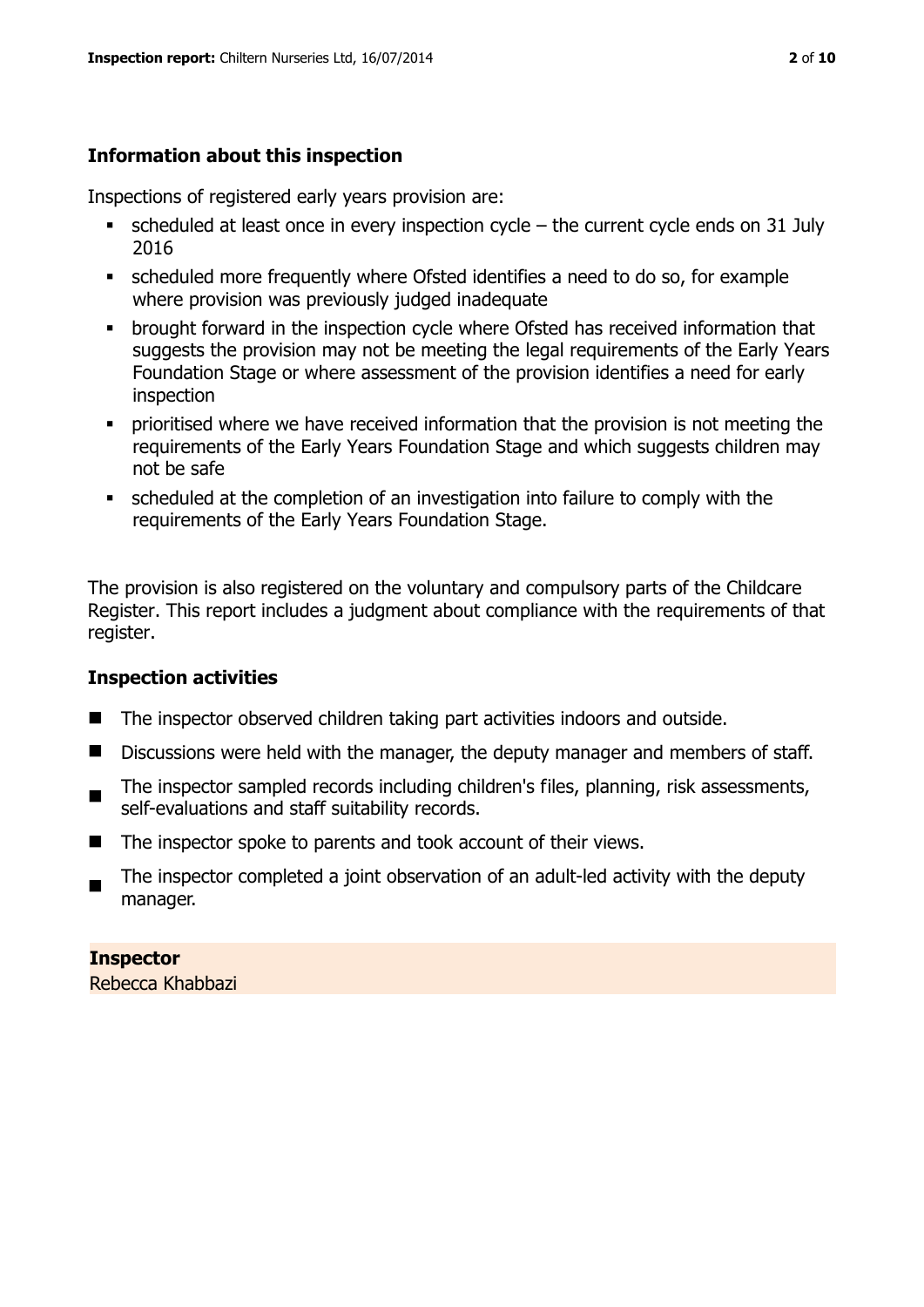# **Information about this inspection**

Inspections of registered early years provision are:

- scheduled at least once in every inspection cycle the current cycle ends on 31 July 2016
- scheduled more frequently where Ofsted identifies a need to do so, for example where provision was previously judged inadequate
- **•** brought forward in the inspection cycle where Ofsted has received information that suggests the provision may not be meeting the legal requirements of the Early Years Foundation Stage or where assessment of the provision identifies a need for early inspection
- **•** prioritised where we have received information that the provision is not meeting the requirements of the Early Years Foundation Stage and which suggests children may not be safe
- scheduled at the completion of an investigation into failure to comply with the requirements of the Early Years Foundation Stage.

The provision is also registered on the voluntary and compulsory parts of the Childcare Register. This report includes a judgment about compliance with the requirements of that register.

#### **Inspection activities**

- The inspector observed children taking part activities indoors and outside.
- Discussions were held with the manager, the deputy manager and members of staff.
- The inspector sampled records including children's files, planning, risk assessments, self-evaluations and staff suitability records.
- $\blacksquare$  The inspector spoke to parents and took account of their views.
- $\blacksquare$ The inspector completed a joint observation of an adult-led activity with the deputy manager.

**Inspector**  Rebecca Khabbazi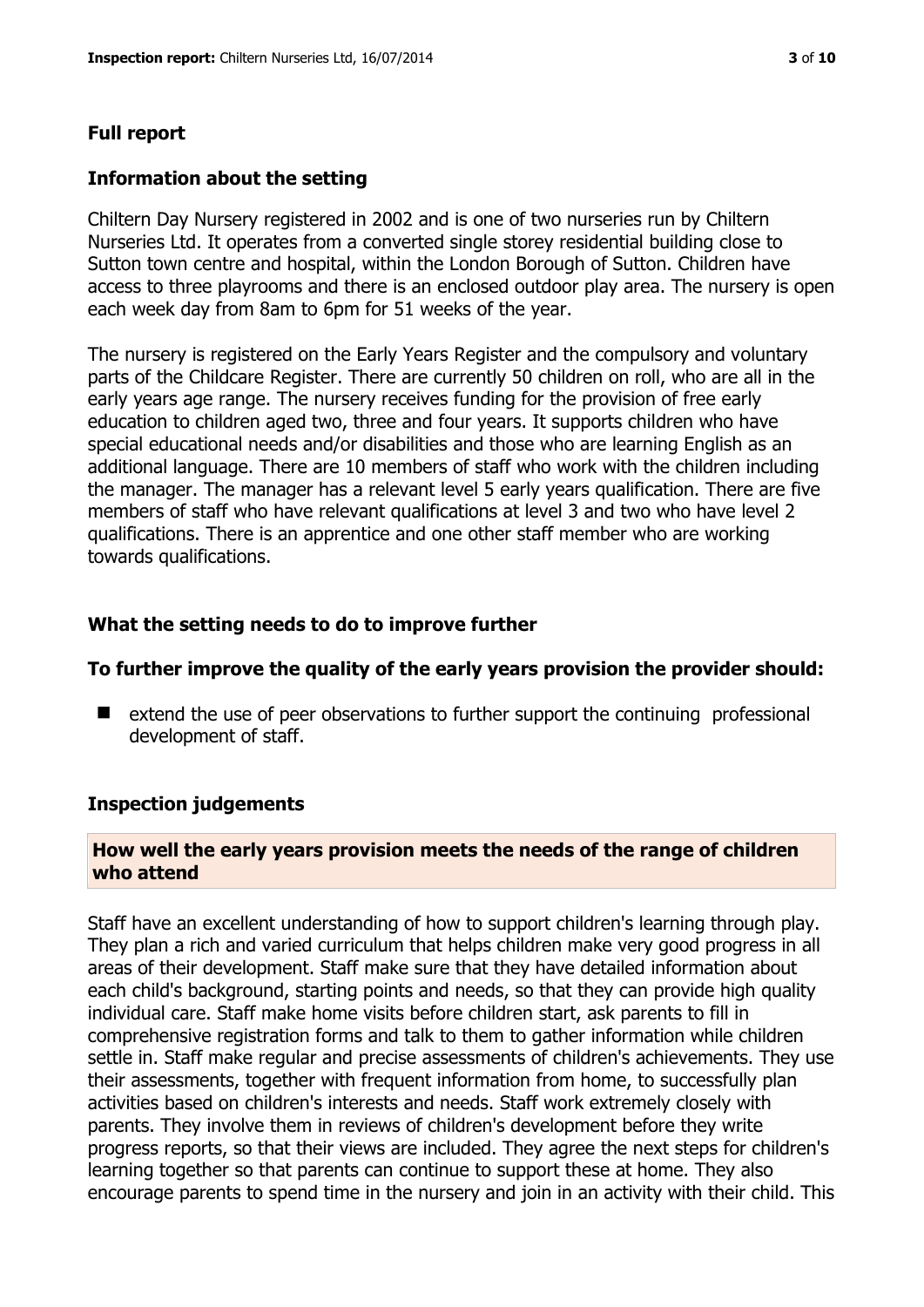#### **Full report**

#### **Information about the setting**

Chiltern Day Nursery registered in 2002 and is one of two nurseries run by Chiltern Nurseries Ltd. It operates from a converted single storey residential building close to Sutton town centre and hospital, within the London Borough of Sutton. Children have access to three playrooms and there is an enclosed outdoor play area. The nursery is open each week day from 8am to 6pm for 51 weeks of the year.

The nursery is registered on the Early Years Register and the compulsory and voluntary parts of the Childcare Register. There are currently 50 children on roll, who are all in the early years age range. The nursery receives funding for the provision of free early education to children aged two, three and four years. It supports children who have special educational needs and/or disabilities and those who are learning English as an additional language. There are 10 members of staff who work with the children including the manager. The manager has a relevant level 5 early years qualification. There are five members of staff who have relevant qualifications at level 3 and two who have level 2 qualifications. There is an apprentice and one other staff member who are working towards qualifications.

#### **What the setting needs to do to improve further**

#### **To further improve the quality of the early years provision the provider should:**

 $\blacksquare$  extend the use of peer observations to further support the continuing professional development of staff.

#### **Inspection judgements**

#### **How well the early years provision meets the needs of the range of children who attend**

Staff have an excellent understanding of how to support children's learning through play. They plan a rich and varied curriculum that helps children make very good progress in all areas of their development. Staff make sure that they have detailed information about each child's background, starting points and needs, so that they can provide high quality individual care. Staff make home visits before children start, ask parents to fill in comprehensive registration forms and talk to them to gather information while children settle in. Staff make regular and precise assessments of children's achievements. They use their assessments, together with frequent information from home, to successfully plan activities based on children's interests and needs. Staff work extremely closely with parents. They involve them in reviews of children's development before they write progress reports, so that their views are included. They agree the next steps for children's learning together so that parents can continue to support these at home. They also encourage parents to spend time in the nursery and join in an activity with their child. This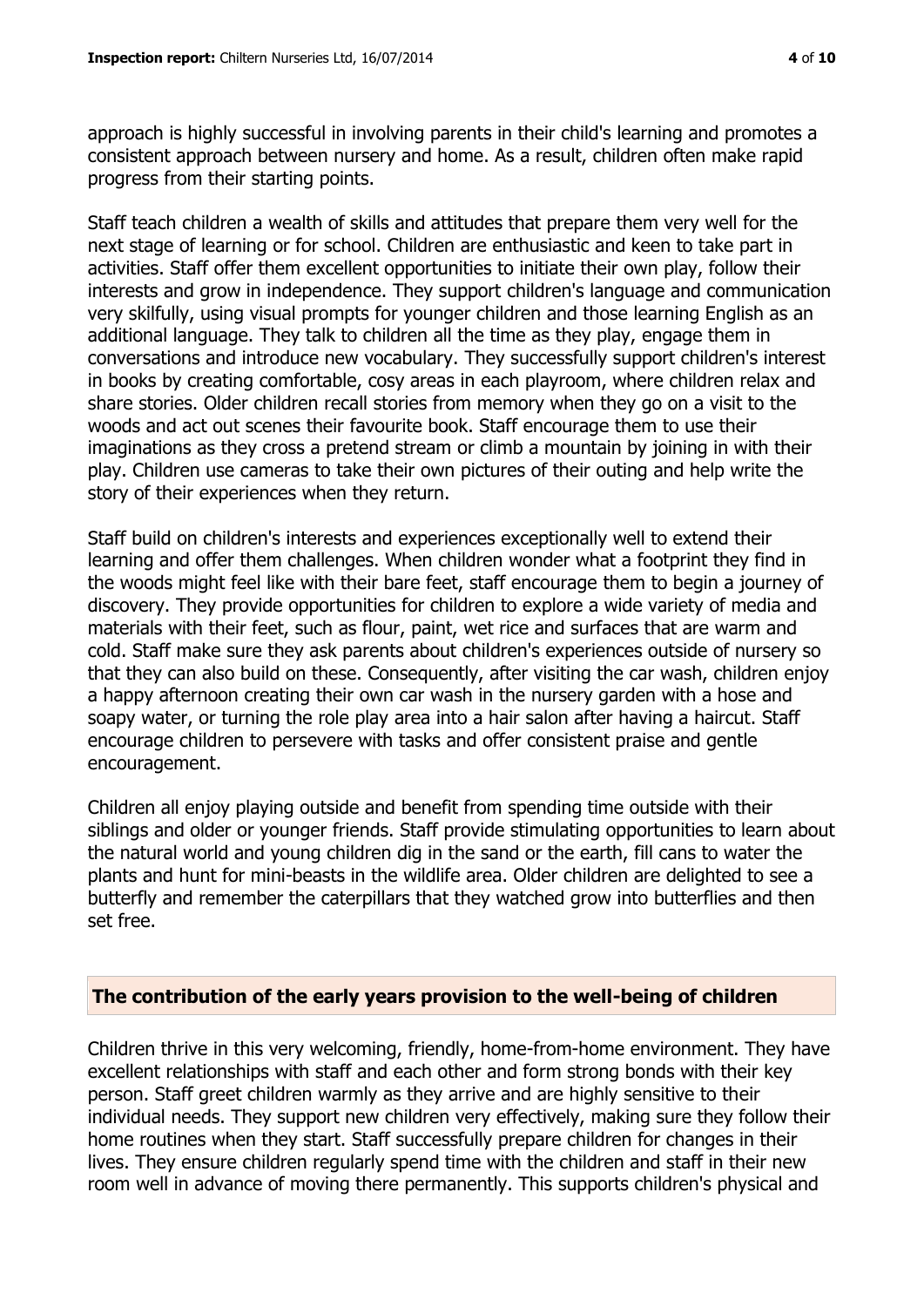approach is highly successful in involving parents in their child's learning and promotes a consistent approach between nursery and home. As a result, children often make rapid progress from their starting points.

Staff teach children a wealth of skills and attitudes that prepare them very well for the next stage of learning or for school. Children are enthusiastic and keen to take part in activities. Staff offer them excellent opportunities to initiate their own play, follow their interests and grow in independence. They support children's language and communication very skilfully, using visual prompts for younger children and those learning English as an additional language. They talk to children all the time as they play, engage them in conversations and introduce new vocabulary. They successfully support children's interest in books by creating comfortable, cosy areas in each playroom, where children relax and share stories. Older children recall stories from memory when they go on a visit to the woods and act out scenes their favourite book. Staff encourage them to use their imaginations as they cross a pretend stream or climb a mountain by joining in with their play. Children use cameras to take their own pictures of their outing and help write the story of their experiences when they return.

Staff build on children's interests and experiences exceptionally well to extend their learning and offer them challenges. When children wonder what a footprint they find in the woods might feel like with their bare feet, staff encourage them to begin a journey of discovery. They provide opportunities for children to explore a wide variety of media and materials with their feet, such as flour, paint, wet rice and surfaces that are warm and cold. Staff make sure they ask parents about children's experiences outside of nursery so that they can also build on these. Consequently, after visiting the car wash, children enjoy a happy afternoon creating their own car wash in the nursery garden with a hose and soapy water, or turning the role play area into a hair salon after having a haircut. Staff encourage children to persevere with tasks and offer consistent praise and gentle encouragement.

Children all enjoy playing outside and benefit from spending time outside with their siblings and older or younger friends. Staff provide stimulating opportunities to learn about the natural world and young children dig in the sand or the earth, fill cans to water the plants and hunt for mini-beasts in the wildlife area. Older children are delighted to see a butterfly and remember the caterpillars that they watched grow into butterflies and then set free.

#### **The contribution of the early years provision to the well-being of children**

Children thrive in this very welcoming, friendly, home-from-home environment. They have excellent relationships with staff and each other and form strong bonds with their key person. Staff greet children warmly as they arrive and are highly sensitive to their individual needs. They support new children very effectively, making sure they follow their home routines when they start. Staff successfully prepare children for changes in their lives. They ensure children regularly spend time with the children and staff in their new room well in advance of moving there permanently. This supports children's physical and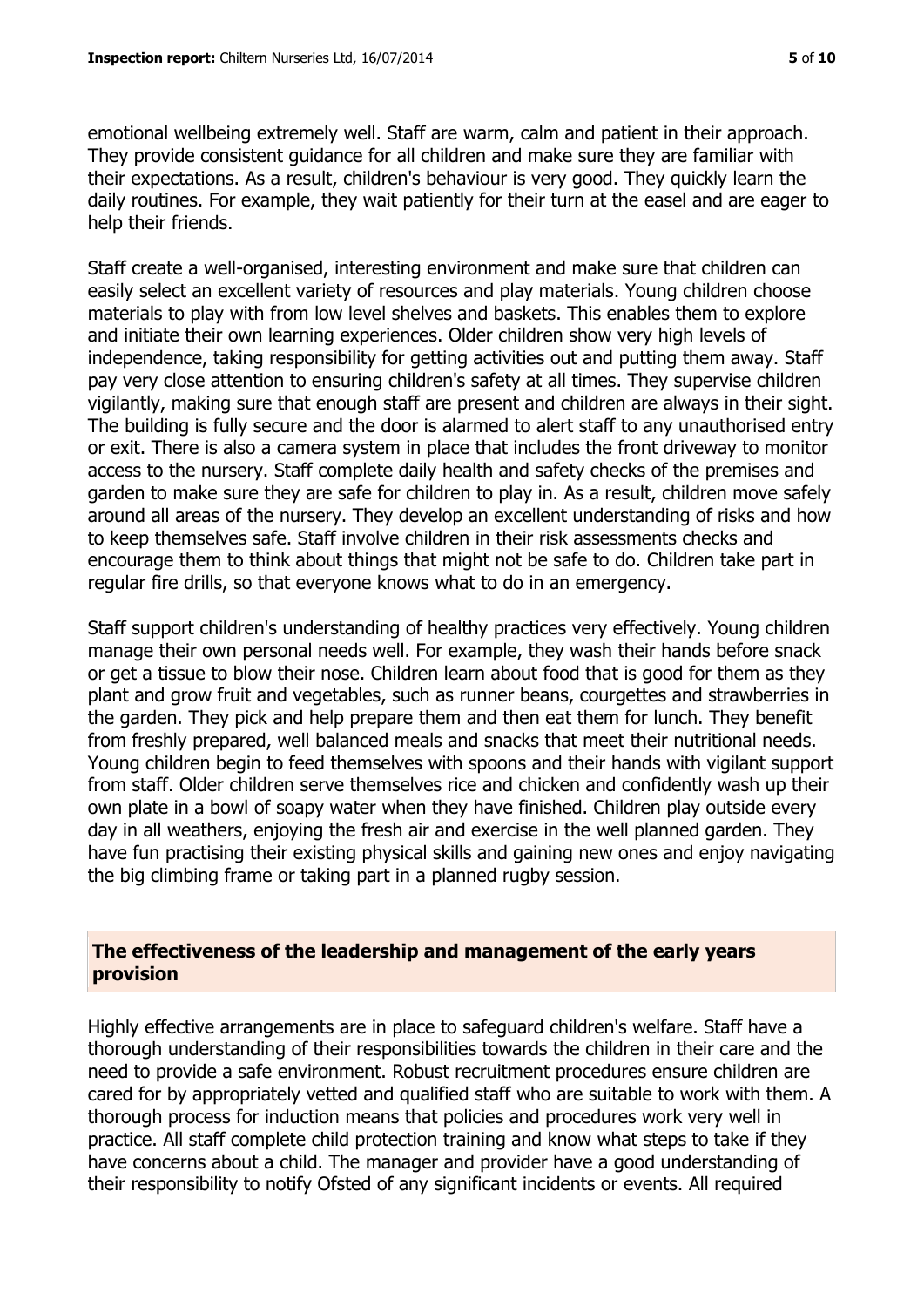emotional wellbeing extremely well. Staff are warm, calm and patient in their approach. They provide consistent guidance for all children and make sure they are familiar with their expectations. As a result, children's behaviour is very good. They quickly learn the daily routines. For example, they wait patiently for their turn at the easel and are eager to help their friends.

Staff create a well-organised, interesting environment and make sure that children can easily select an excellent variety of resources and play materials. Young children choose materials to play with from low level shelves and baskets. This enables them to explore and initiate their own learning experiences. Older children show very high levels of independence, taking responsibility for getting activities out and putting them away. Staff pay very close attention to ensuring children's safety at all times. They supervise children vigilantly, making sure that enough staff are present and children are always in their sight. The building is fully secure and the door is alarmed to alert staff to any unauthorised entry or exit. There is also a camera system in place that includes the front driveway to monitor access to the nursery. Staff complete daily health and safety checks of the premises and garden to make sure they are safe for children to play in. As a result, children move safely around all areas of the nursery. They develop an excellent understanding of risks and how to keep themselves safe. Staff involve children in their risk assessments checks and encourage them to think about things that might not be safe to do. Children take part in regular fire drills, so that everyone knows what to do in an emergency.

Staff support children's understanding of healthy practices very effectively. Young children manage their own personal needs well. For example, they wash their hands before snack or get a tissue to blow their nose. Children learn about food that is good for them as they plant and grow fruit and vegetables, such as runner beans, courgettes and strawberries in the garden. They pick and help prepare them and then eat them for lunch. They benefit from freshly prepared, well balanced meals and snacks that meet their nutritional needs. Young children begin to feed themselves with spoons and their hands with vigilant support from staff. Older children serve themselves rice and chicken and confidently wash up their own plate in a bowl of soapy water when they have finished. Children play outside every day in all weathers, enjoying the fresh air and exercise in the well planned garden. They have fun practising their existing physical skills and gaining new ones and enjoy navigating the big climbing frame or taking part in a planned rugby session.

#### **The effectiveness of the leadership and management of the early years provision**

Highly effective arrangements are in place to safeguard children's welfare. Staff have a thorough understanding of their responsibilities towards the children in their care and the need to provide a safe environment. Robust recruitment procedures ensure children are cared for by appropriately vetted and qualified staff who are suitable to work with them. A thorough process for induction means that policies and procedures work very well in practice. All staff complete child protection training and know what steps to take if they have concerns about a child. The manager and provider have a good understanding of their responsibility to notify Ofsted of any significant incidents or events. All required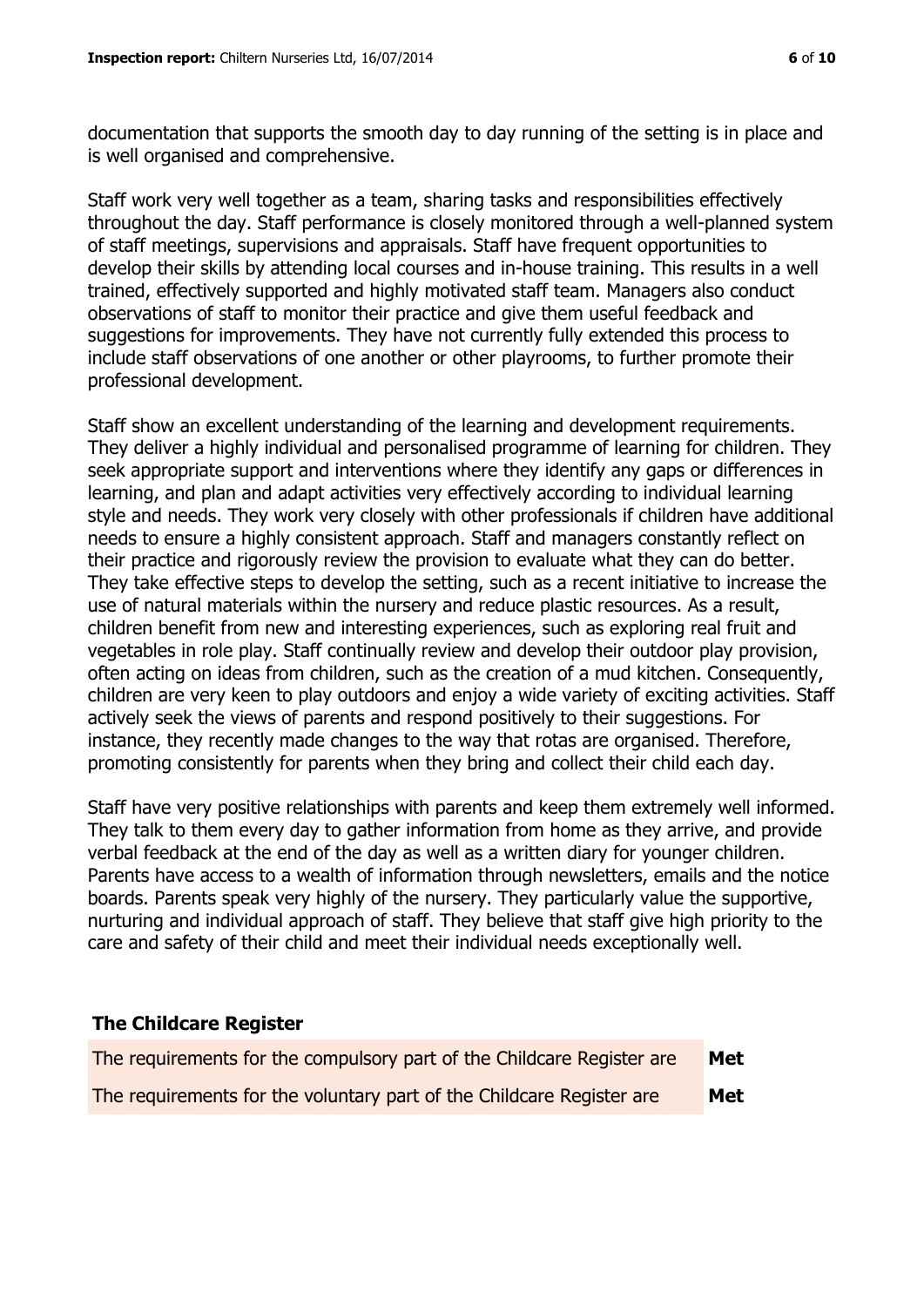documentation that supports the smooth day to day running of the setting is in place and is well organised and comprehensive.

Staff work very well together as a team, sharing tasks and responsibilities effectively throughout the day. Staff performance is closely monitored through a well-planned system of staff meetings, supervisions and appraisals. Staff have frequent opportunities to develop their skills by attending local courses and in-house training. This results in a well trained, effectively supported and highly motivated staff team. Managers also conduct observations of staff to monitor their practice and give them useful feedback and suggestions for improvements. They have not currently fully extended this process to include staff observations of one another or other playrooms, to further promote their professional development.

Staff show an excellent understanding of the learning and development requirements. They deliver a highly individual and personalised programme of learning for children. They seek appropriate support and interventions where they identify any gaps or differences in learning, and plan and adapt activities very effectively according to individual learning style and needs. They work very closely with other professionals if children have additional needs to ensure a highly consistent approach. Staff and managers constantly reflect on their practice and rigorously review the provision to evaluate what they can do better. They take effective steps to develop the setting, such as a recent initiative to increase the use of natural materials within the nursery and reduce plastic resources. As a result, children benefit from new and interesting experiences, such as exploring real fruit and vegetables in role play. Staff continually review and develop their outdoor play provision, often acting on ideas from children, such as the creation of a mud kitchen. Consequently, children are very keen to play outdoors and enjoy a wide variety of exciting activities. Staff actively seek the views of parents and respond positively to their suggestions. For instance, they recently made changes to the way that rotas are organised. Therefore, promoting consistently for parents when they bring and collect their child each day.

Staff have very positive relationships with parents and keep them extremely well informed. They talk to them every day to gather information from home as they arrive, and provide verbal feedback at the end of the day as well as a written diary for younger children. Parents have access to a wealth of information through newsletters, emails and the notice boards. Parents speak very highly of the nursery. They particularly value the supportive, nurturing and individual approach of staff. They believe that staff give high priority to the care and safety of their child and meet their individual needs exceptionally well.

#### **The Childcare Register**

| The requirements for the compulsory part of the Childcare Register are | Met |
|------------------------------------------------------------------------|-----|
| The requirements for the voluntary part of the Childcare Register are  | Met |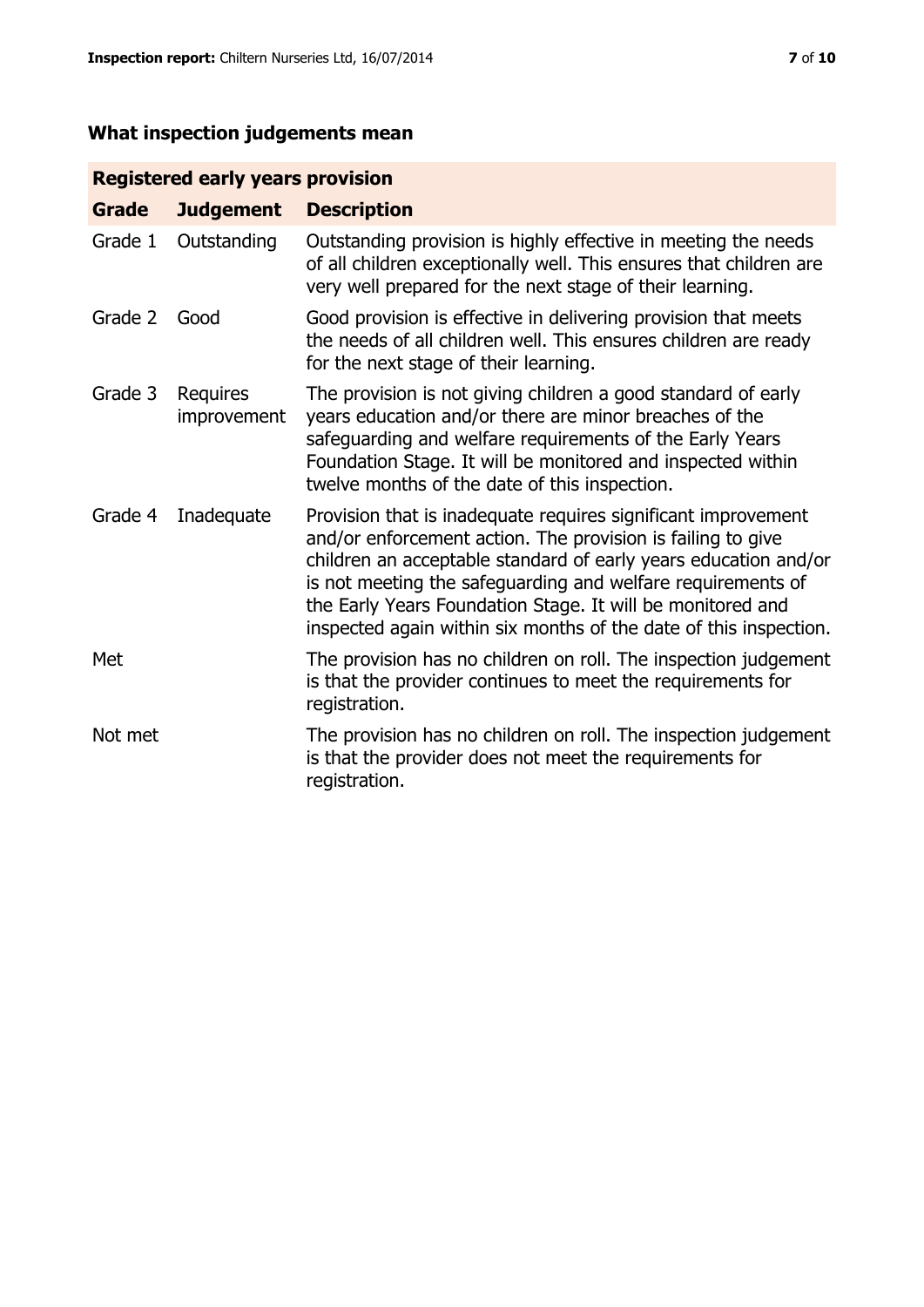# **What inspection judgements mean**

# **Registered early years provision**

| <b>Grade</b> | <b>Judgement</b>        | <b>Description</b>                                                                                                                                                                                                                                                                                                                                                                                |
|--------------|-------------------------|---------------------------------------------------------------------------------------------------------------------------------------------------------------------------------------------------------------------------------------------------------------------------------------------------------------------------------------------------------------------------------------------------|
| Grade 1      | Outstanding             | Outstanding provision is highly effective in meeting the needs<br>of all children exceptionally well. This ensures that children are<br>very well prepared for the next stage of their learning.                                                                                                                                                                                                  |
| Grade 2      | Good                    | Good provision is effective in delivering provision that meets<br>the needs of all children well. This ensures children are ready<br>for the next stage of their learning.                                                                                                                                                                                                                        |
| Grade 3      | Requires<br>improvement | The provision is not giving children a good standard of early<br>years education and/or there are minor breaches of the<br>safeguarding and welfare requirements of the Early Years<br>Foundation Stage. It will be monitored and inspected within<br>twelve months of the date of this inspection.                                                                                               |
| Grade 4      | Inadequate              | Provision that is inadequate requires significant improvement<br>and/or enforcement action. The provision is failing to give<br>children an acceptable standard of early years education and/or<br>is not meeting the safeguarding and welfare requirements of<br>the Early Years Foundation Stage. It will be monitored and<br>inspected again within six months of the date of this inspection. |
| Met          |                         | The provision has no children on roll. The inspection judgement<br>is that the provider continues to meet the requirements for<br>registration.                                                                                                                                                                                                                                                   |
| Not met      |                         | The provision has no children on roll. The inspection judgement<br>is that the provider does not meet the requirements for<br>registration.                                                                                                                                                                                                                                                       |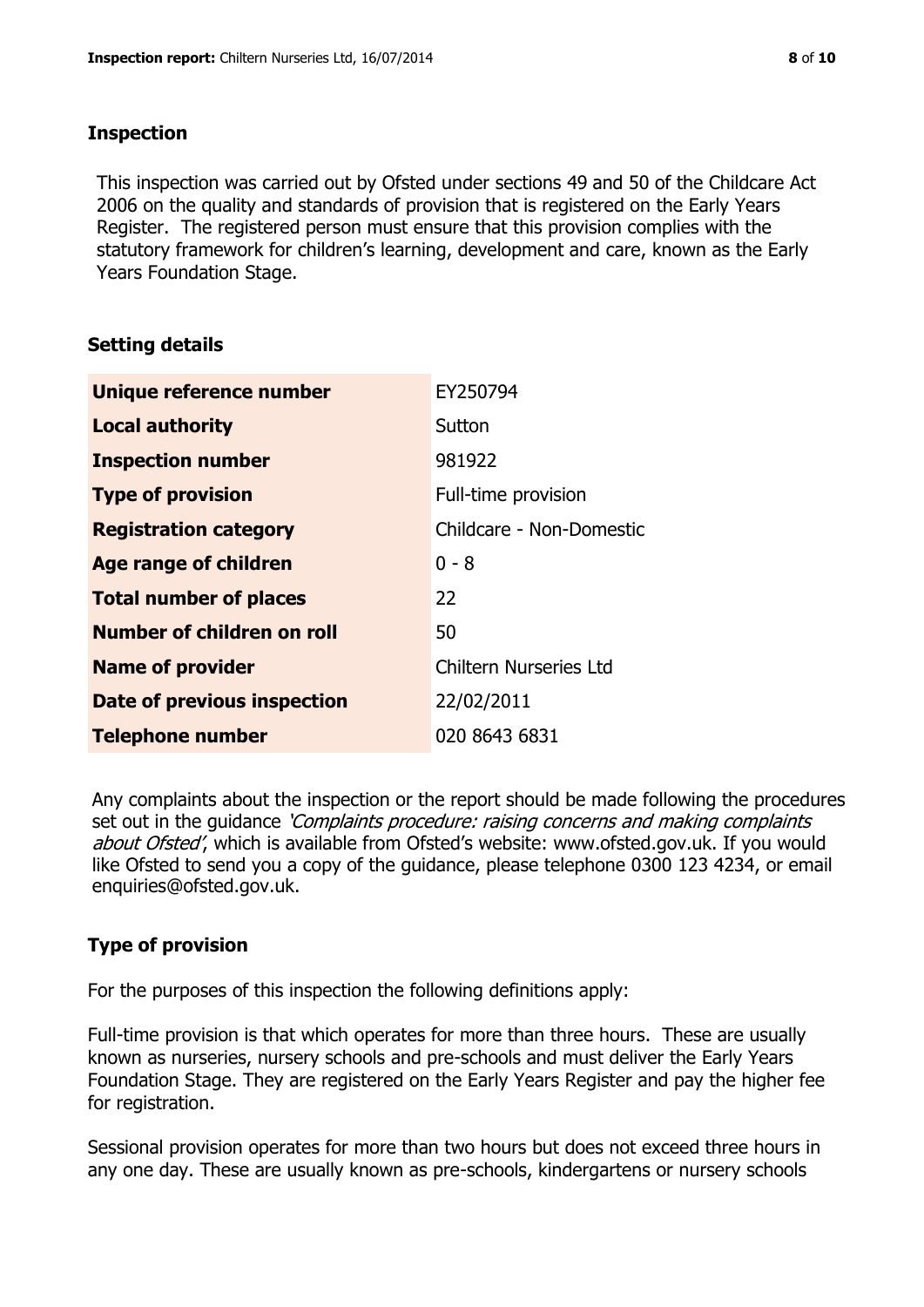#### **Inspection**

This inspection was carried out by Ofsted under sections 49 and 50 of the Childcare Act 2006 on the quality and standards of provision that is registered on the Early Years Register. The registered person must ensure that this provision complies with the statutory framework for children's learning, development and care, known as the Early Years Foundation Stage.

# **Setting details**

| Unique reference number            | EY250794                      |
|------------------------------------|-------------------------------|
| <b>Local authority</b>             | Sutton                        |
| <b>Inspection number</b>           | 981922                        |
| <b>Type of provision</b>           | Full-time provision           |
| <b>Registration category</b>       | Childcare - Non-Domestic      |
| <b>Age range of children</b>       | $0 - 8$                       |
| <b>Total number of places</b>      | 22                            |
| Number of children on roll         | 50                            |
| <b>Name of provider</b>            | <b>Chiltern Nurseries Ltd</b> |
| <b>Date of previous inspection</b> | 22/02/2011                    |
| <b>Telephone number</b>            | 020 8643 6831                 |

Any complaints about the inspection or the report should be made following the procedures set out in the guidance *'Complaints procedure: raising concerns and making complaints* about Ofsted', which is available from Ofsted's website: www.ofsted.gov.uk. If you would like Ofsted to send you a copy of the guidance, please telephone 0300 123 4234, or email enquiries@ofsted.gov.uk.

# **Type of provision**

For the purposes of this inspection the following definitions apply:

Full-time provision is that which operates for more than three hours. These are usually known as nurseries, nursery schools and pre-schools and must deliver the Early Years Foundation Stage. They are registered on the Early Years Register and pay the higher fee for registration.

Sessional provision operates for more than two hours but does not exceed three hours in any one day. These are usually known as pre-schools, kindergartens or nursery schools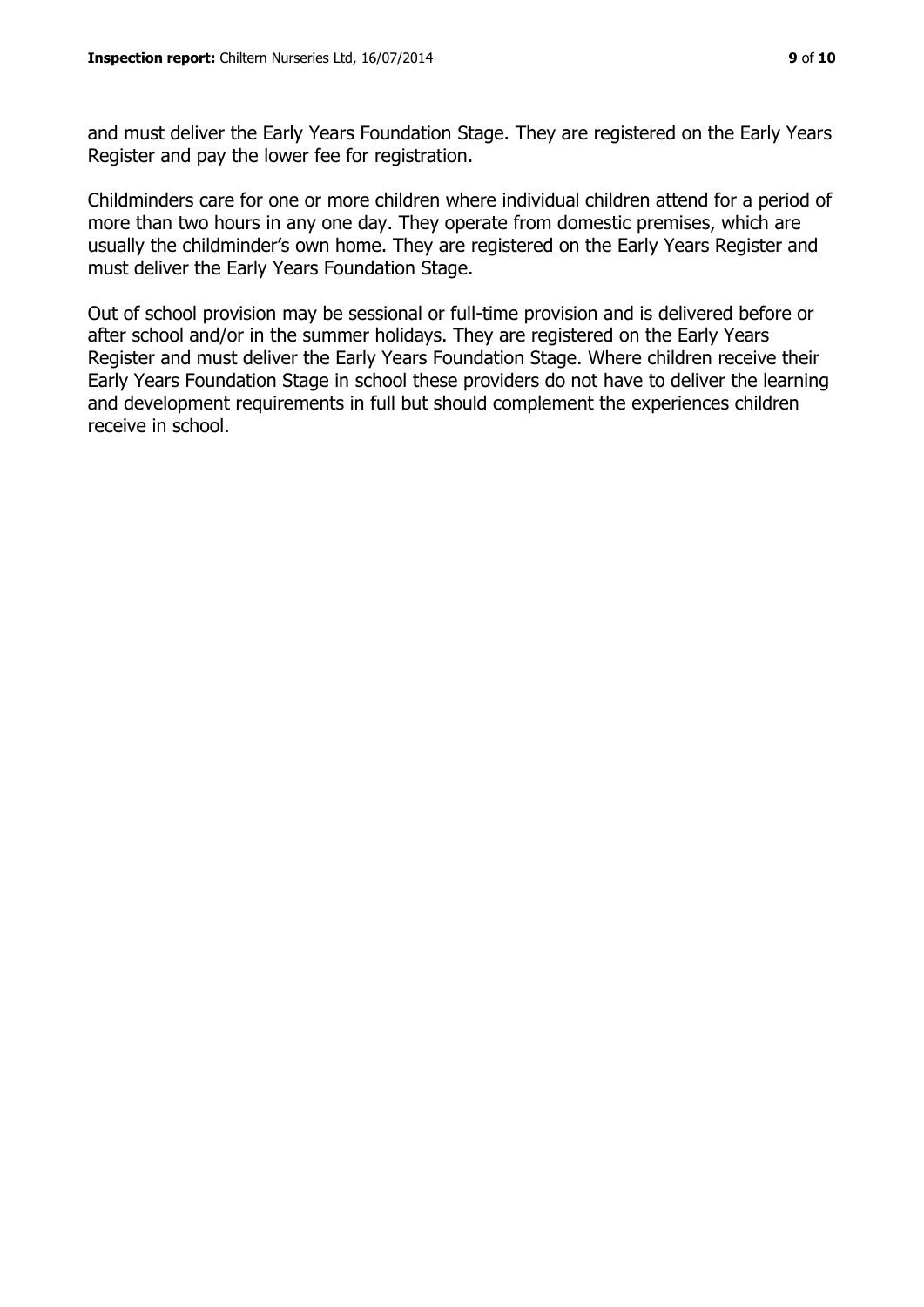and must deliver the Early Years Foundation Stage. They are registered on the Early Years Register and pay the lower fee for registration.

Childminders care for one or more children where individual children attend for a period of more than two hours in any one day. They operate from domestic premises, which are usually the childminder's own home. They are registered on the Early Years Register and must deliver the Early Years Foundation Stage.

Out of school provision may be sessional or full-time provision and is delivered before or after school and/or in the summer holidays. They are registered on the Early Years Register and must deliver the Early Years Foundation Stage. Where children receive their Early Years Foundation Stage in school these providers do not have to deliver the learning and development requirements in full but should complement the experiences children receive in school.